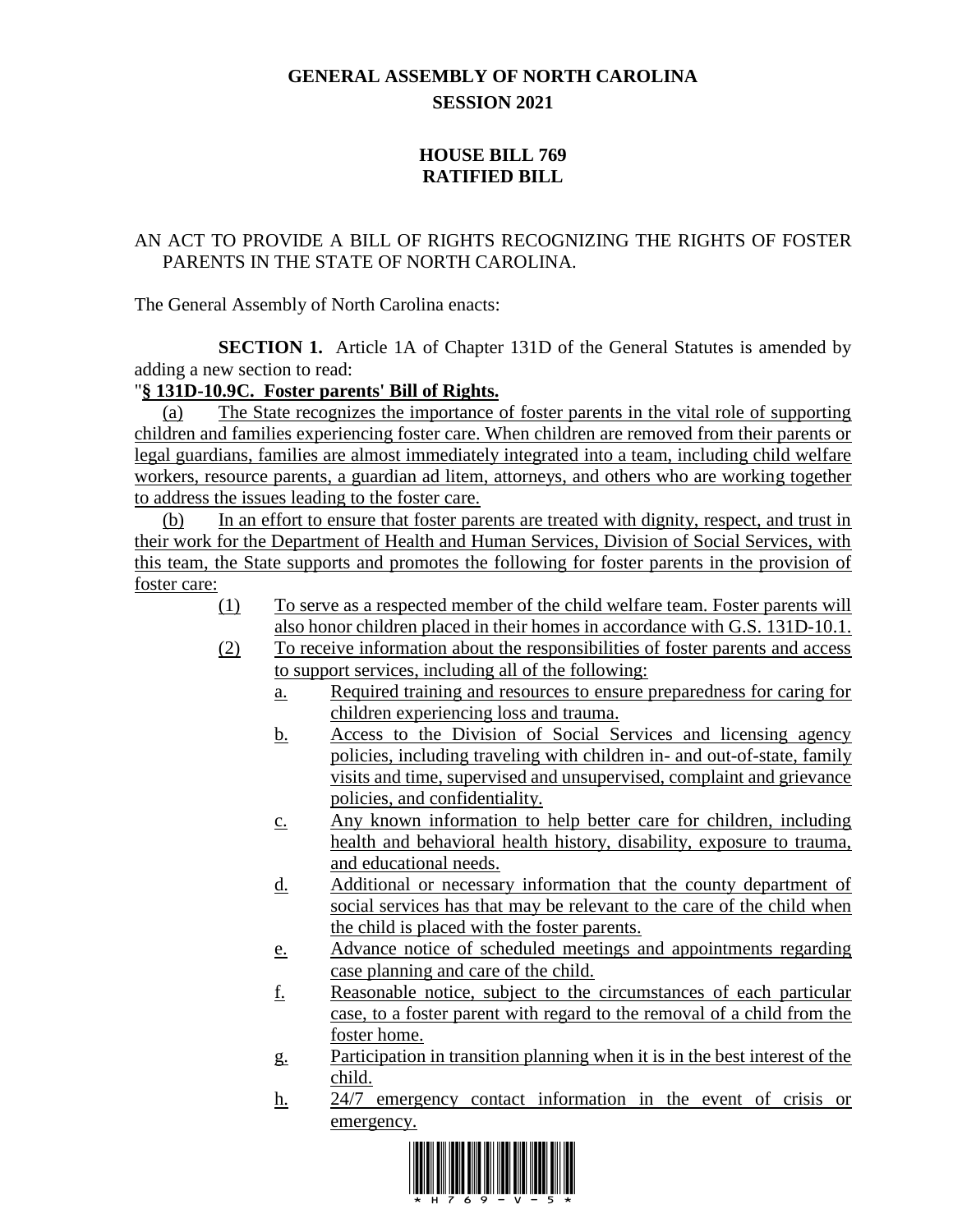## **GENERAL ASSEMBLY OF NORTH CAROLINA SESSION 2021**

## **HOUSE BILL 769 RATIFIED BILL**

## AN ACT TO PROVIDE A BILL OF RIGHTS RECOGNIZING THE RIGHTS OF FOSTER PARENTS IN THE STATE OF NORTH CAROLINA.

The General Assembly of North Carolina enacts:

**SECTION 1.** Article 1A of Chapter 131D of the General Statutes is amended by adding a new section to read:

## "**§ 131D-10.9C. Foster parents' Bill of Rights.**

(a) The State recognizes the importance of foster parents in the vital role of supporting children and families experiencing foster care. When children are removed from their parents or legal guardians, families are almost immediately integrated into a team, including child welfare workers, resource parents, a guardian ad litem, attorneys, and others who are working together to address the issues leading to the foster care.

(b) In an effort to ensure that foster parents are treated with dignity, respect, and trust in their work for the Department of Health and Human Services, Division of Social Services, with this team, the State supports and promotes the following for foster parents in the provision of foster care:

- (1) To serve as a respected member of the child welfare team. Foster parents will also honor children placed in their homes in accordance with G.S. 131D-10.1.
- (2) To receive information about the responsibilities of foster parents and access to support services, including all of the following:
	- a. Required training and resources to ensure preparedness for caring for children experiencing loss and trauma.
	- b. Access to the Division of Social Services and licensing agency policies, including traveling with children in- and out-of-state, family visits and time, supervised and unsupervised, complaint and grievance policies, and confidentiality.
	- c. Any known information to help better care for children, including health and behavioral health history, disability, exposure to trauma, and educational needs.
	- d. Additional or necessary information that the county department of social services has that may be relevant to the care of the child when the child is placed with the foster parents.
	- e. Advance notice of scheduled meetings and appointments regarding case planning and care of the child.
	- f. Reasonable notice, subject to the circumstances of each particular case, to a foster parent with regard to the removal of a child from the foster home.
	- g. Participation in transition planning when it is in the best interest of the child.
	- h. 24/7 emergency contact information in the event of crisis or emergency.

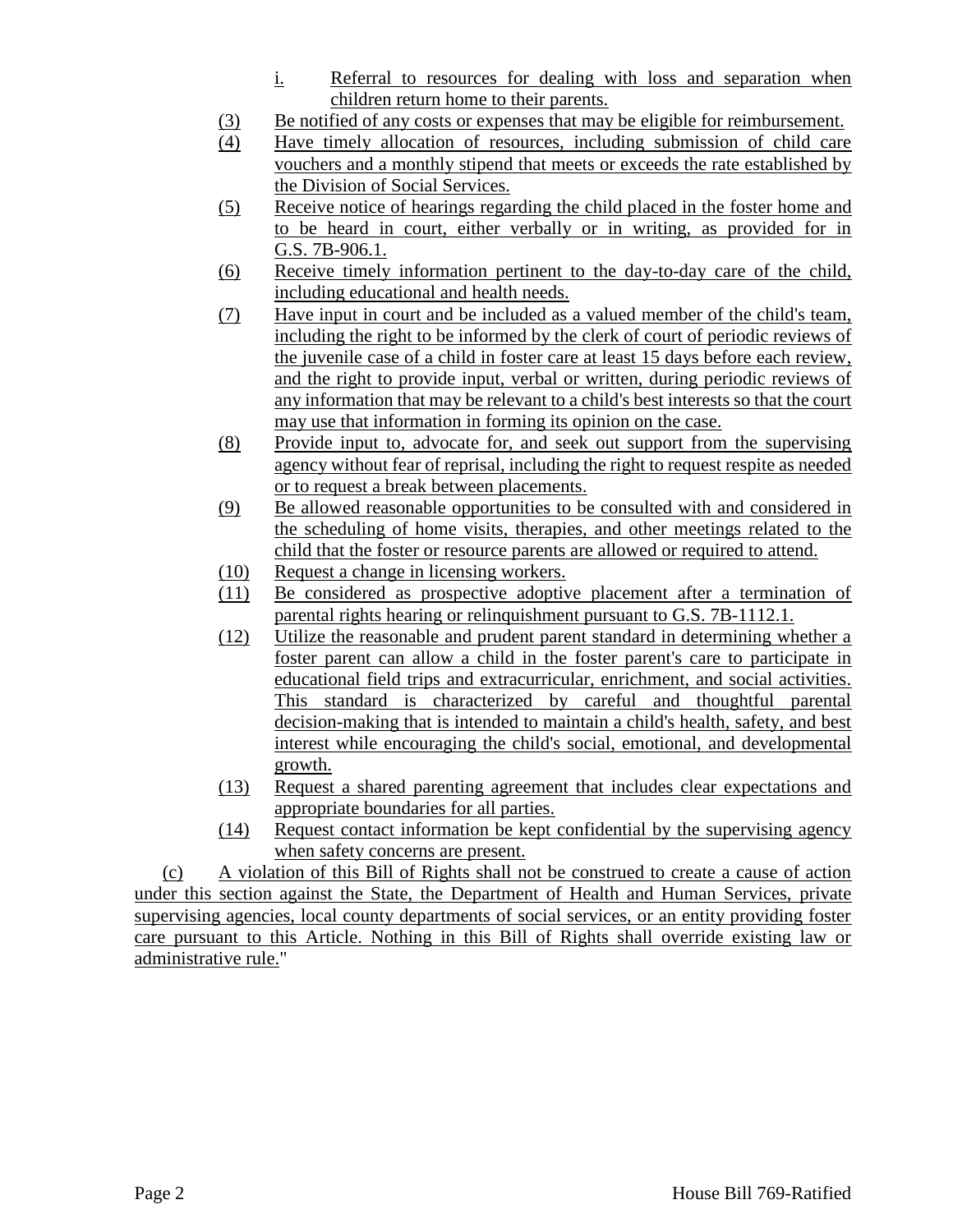- i. Referral to resources for dealing with loss and separation when children return home to their parents.
- (3) Be notified of any costs or expenses that may be eligible for reimbursement.
- (4) Have timely allocation of resources, including submission of child care vouchers and a monthly stipend that meets or exceeds the rate established by the Division of Social Services.
- (5) Receive notice of hearings regarding the child placed in the foster home and to be heard in court, either verbally or in writing, as provided for in G.S. 7B-906.1.
- (6) Receive timely information pertinent to the day-to-day care of the child, including educational and health needs.
- (7) Have input in court and be included as a valued member of the child's team, including the right to be informed by the clerk of court of periodic reviews of the juvenile case of a child in foster care at least 15 days before each review, and the right to provide input, verbal or written, during periodic reviews of any information that may be relevant to a child's best interests so that the court may use that information in forming its opinion on the case.
- (8) Provide input to, advocate for, and seek out support from the supervising agency without fear of reprisal, including the right to request respite as needed or to request a break between placements.
- (9) Be allowed reasonable opportunities to be consulted with and considered in the scheduling of home visits, therapies, and other meetings related to the child that the foster or resource parents are allowed or required to attend.
- (10) Request a change in licensing workers.
- (11) Be considered as prospective adoptive placement after a termination of parental rights hearing or relinquishment pursuant to G.S. 7B-1112.1.
- (12) Utilize the reasonable and prudent parent standard in determining whether a foster parent can allow a child in the foster parent's care to participate in educational field trips and extracurricular, enrichment, and social activities. This standard is characterized by careful and thoughtful parental decision-making that is intended to maintain a child's health, safety, and best interest while encouraging the child's social, emotional, and developmental growth.
- (13) Request a shared parenting agreement that includes clear expectations and appropriate boundaries for all parties.
- (14) Request contact information be kept confidential by the supervising agency when safety concerns are present.

(c) A violation of this Bill of Rights shall not be construed to create a cause of action under this section against the State, the Department of Health and Human Services, private supervising agencies, local county departments of social services, or an entity providing foster care pursuant to this Article. Nothing in this Bill of Rights shall override existing law or administrative rule."